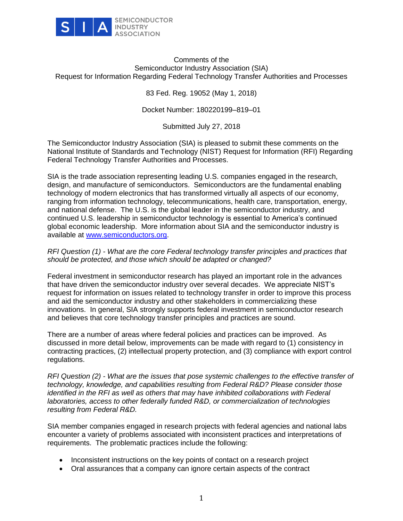

## Comments of the Semiconductor Industry Association (SIA) Request for Information Regarding Federal Technology Transfer Authorities and Processes

83 Fed. Reg. 19052 (May 1, 2018)

Docket Number: 180220199–819–01

Submitted July 27, 2018

The Semiconductor Industry Association (SIA) is pleased to submit these comments on the National Institute of Standards and Technology (NIST) Request for Information (RFI) Regarding Federal Technology Transfer Authorities and Processes.

SIA is the trade association representing leading U.S. companies engaged in the research, design, and manufacture of semiconductors. Semiconductors are the fundamental enabling technology of modern electronics that has transformed virtually all aspects of our economy, ranging from information technology, telecommunications, health care, transportation, energy, and national defense. The U.S. is the global leader in the semiconductor industry, and continued U.S. leadership in semiconductor technology is essential to America's continued global economic leadership. More information about SIA and the semiconductor industry is available at [www.semiconductors.org.](http://www.semiconductors.org/)

## *RFI Question (1) - What are the core Federal technology transfer principles and practices that should be protected, and those which should be adapted or changed?*

Federal investment in semiconductor research has played an important role in the advances that have driven the semiconductor industry over several decades. We appreciate NIST's request for information on issues related to technology transfer in order to improve this process and aid the semiconductor industry and other stakeholders in commercializing these innovations. In general, SIA strongly supports federal investment in semiconductor research and believes that core technology transfer principles and practices are sound.

There are a number of areas where federal policies and practices can be improved. As discussed in more detail below, improvements can be made with regard to (1) consistency in contracting practices, (2) intellectual property protection, and (3) compliance with export control regulations.

*RFI Question (2) - What are the issues that pose systemic challenges to the effective transfer of technology, knowledge, and capabilities resulting from Federal R&D? Please consider those identified in the RFI as well as others that may have inhibited collaborations with Federal laboratories, access to other federally funded R&D, or commercialization of technologies resulting from Federal R&D.*

SIA member companies engaged in research projects with federal agencies and national labs encounter a variety of problems associated with inconsistent practices and interpretations of requirements. The problematic practices include the following:

- Inconsistent instructions on the key points of contact on a research project
- Oral assurances that a company can ignore certain aspects of the contract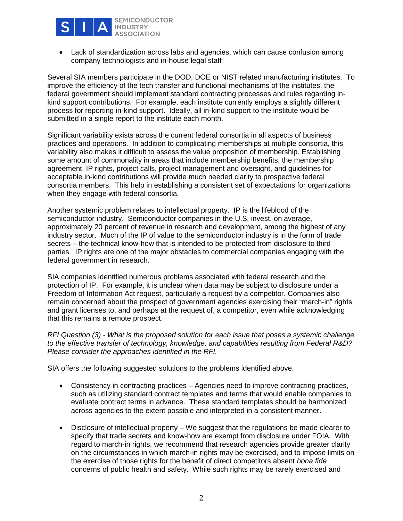

• Lack of standardization across labs and agencies, which can cause confusion among company technologists and in-house legal staff

Several SIA members participate in the DOD, DOE or NIST related manufacturing institutes. To improve the efficiency of the tech transfer and functional mechanisms of the institutes, the federal government should implement standard contracting processes and rules regarding inkind support contributions. For example, each institute currently employs a slightly different process for reporting in-kind support. Ideally, all in-kind support to the institute would be submitted in a single report to the institute each month.

Significant variability exists across the current federal consortia in all aspects of business practices and operations. In addition to complicating memberships at multiple consortia, this variability also makes it difficult to assess the value proposition of membership. Establishing some amount of commonality in areas that include membership benefits, the membership agreement, IP rights, project calls, project management and oversight, and guidelines for acceptable in-kind contributions will provide much needed clarity to prospective federal consortia members. This help in establishing a consistent set of expectations for organizations when they engage with federal consortia.

Another systemic problem relates to intellectual property. IP is the lifeblood of the semiconductor industry. Semiconductor companies in the U.S. invest, on average, approximately 20 percent of revenue in research and development, among the highest of any industry sector. Much of the IP of value to the semiconductor industry is in the form of trade secrets – the technical know-how that is intended to be protected from disclosure to third parties. IP rights are one of the major obstacles to commercial companies engaging with the federal government in research.

SIA companies identified numerous problems associated with federal research and the protection of IP. For example, it is unclear when data may be subject to disclosure under a Freedom of Information Act request, particularly a request by a competitor. Companies also remain concerned about the prospect of government agencies exercising their "march-in" rights and grant licenses to, and perhaps at the request of, a competitor, even while acknowledging that this remains a remote prospect.

*RFI Question (3) - What is the proposed solution for each issue that poses a systemic challenge to the effective transfer of technology, knowledge, and capabilities resulting from Federal R&D? Please consider the approaches identified in the RFI.* 

SIA offers the following suggested solutions to the problems identified above.

- Consistency in contracting practices Agencies need to improve contracting practices, such as utilizing standard contract templates and terms that would enable companies to evaluate contract terms in advance. These standard templates should be harmonized across agencies to the extent possible and interpreted in a consistent manner.
- Disclosure of intellectual property We suggest that the regulations be made clearer to specify that trade secrets and know-how are exempt from disclosure under FOIA. With regard to march-in rights, we recommend that research agencies provide greater clarity on the circumstances in which march-in rights may be exercised, and to impose limits on the exercise of those rights for the benefit of direct competitors absent *bona fide* concerns of public health and safety. While such rights may be rarely exercised and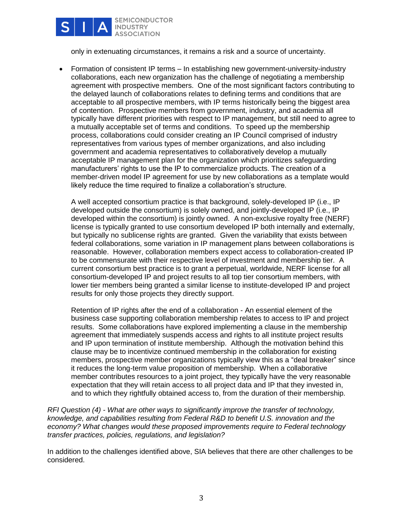

only in extenuating circumstances, it remains a risk and a source of uncertainty.

• Formation of consistent IP terms – In establishing new government-university-industry collaborations, each new organization has the challenge of negotiating a membership agreement with prospective members. One of the most significant factors contributing to the delayed launch of collaborations relates to defining terms and conditions that are acceptable to all prospective members, with IP terms historically being the biggest area of contention. Prospective members from government, industry, and academia all typically have different priorities with respect to IP management, but still need to agree to a mutually acceptable set of terms and conditions. To speed up the membership process, collaborations could consider creating an IP Council comprised of industry representatives from various types of member organizations, and also including government and academia representatives to collaboratively develop a mutually acceptable IP management plan for the organization which prioritizes safeguarding manufacturers' rights to use the IP to commercialize products. The creation of a member-driven model IP agreement for use by new collaborations as a template would likely reduce the time required to finalize a collaboration's structure.

A well accepted consortium practice is that background, solely-developed IP (i.e., IP developed outside the consortium) is solely owned, and jointly-developed IP (i.e., IP developed within the consortium) is jointly owned. A non-exclusive royalty free (NERF) license is typically granted to use consortium developed IP both internally and externally, but typically no sublicense rights are granted. Given the variability that exists between federal collaborations, some variation in IP management plans between collaborations is reasonable. However, collaboration members expect access to collaboration-created IP to be commensurate with their respective level of investment and membership tier. A current consortium best practice is to grant a perpetual, worldwide, NERF license for all consortium-developed IP and project results to all top tier consortium members, with lower tier members being granted a similar license to institute-developed IP and project results for only those projects they directly support.

Retention of IP rights after the end of a collaboration - An essential element of the business case supporting collaboration membership relates to access to IP and project results. Some collaborations have explored implementing a clause in the membership agreement that immediately suspends access and rights to all institute project results and IP upon termination of institute membership. Although the motivation behind this clause may be to incentivize continued membership in the collaboration for existing members, prospective member organizations typically view this as a "deal breaker" since it reduces the long-term value proposition of membership. When a collaborative member contributes resources to a joint project, they typically have the very reasonable expectation that they will retain access to all project data and IP that they invested in, and to which they rightfully obtained access to, from the duration of their membership.

*RFI Question (4) - What are other ways to significantly improve the transfer of technology, knowledge, and capabilities resulting from Federal R&D to benefit U.S. innovation and the economy? What changes would these proposed improvements require to Federal technology transfer practices, policies, regulations, and legislation?*

In addition to the challenges identified above, SIA believes that there are other challenges to be considered.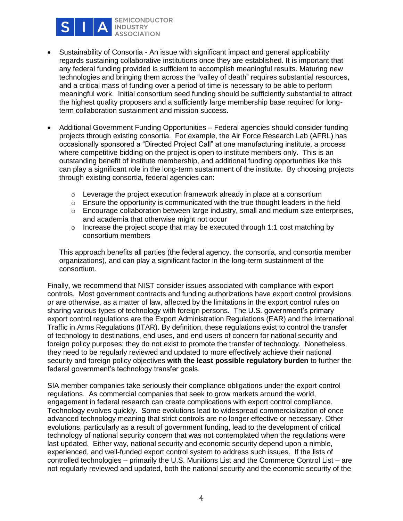

**SEMICONDUCTOR INDUSTRY ASSOCIATION** 

- Sustainability of Consortia An issue with significant impact and general applicability regards sustaining collaborative institutions once they are established. It is important that any federal funding provided is sufficient to accomplish meaningful results. Maturing new technologies and bringing them across the "valley of death" requires substantial resources, and a critical mass of funding over a period of time is necessary to be able to perform meaningful work. Initial consortium seed funding should be sufficiently substantial to attract the highest quality proposers and a sufficiently large membership base required for longterm collaboration sustainment and mission success.
- Additional Government Funding Opportunities Federal agencies should consider funding projects through existing consortia. For example, the Air Force Research Lab (AFRL) has occasionally sponsored a "Directed Project Call" at one manufacturing institute, a process where competitive bidding on the project is open to institute members only. This is an outstanding benefit of institute membership, and additional funding opportunities like this can play a significant role in the long-term sustainment of the institute. By choosing projects through existing consortia, federal agencies can:
	- $\circ$  Leverage the project execution framework already in place at a consortium
	- $\circ$  Ensure the opportunity is communicated with the true thought leaders in the field
	- $\circ$  Encourage collaboration between large industry, small and medium size enterprises, and academia that otherwise might not occur
	- $\circ$  Increase the project scope that may be executed through 1:1 cost matching by consortium members

This approach benefits all parties (the federal agency, the consortia, and consortia member organizations), and can play a significant factor in the long-term sustainment of the consortium.

Finally, we recommend that NIST consider issues associated with compliance with export controls. Most government contracts and funding authorizations have export control provisions or are otherwise, as a matter of law, affected by the limitations in the export control rules on sharing various types of technology with foreign persons. The U.S. government's primary export control regulations are the Export Administration Regulations (EAR) and the International Traffic in Arms Regulations (ITAR). By definition, these regulations exist to control the transfer of technology to destinations, end uses, and end users of concern for national security and foreign policy purposes; they do not exist to promote the transfer of technology. Nonetheless, they need to be regularly reviewed and updated to more effectively achieve their national security and foreign policy objectives **with the least possible regulatory burden** to further the federal government's technology transfer goals.

SIA member companies take seriously their compliance obligations under the export control regulations. As commercial companies that seek to grow markets around the world, engagement in federal research can create complications with export control compliance. Technology evolves quickly. Some evolutions lead to widespread commercialization of once advanced technology meaning that strict controls are no longer effective or necessary. Other evolutions, particularly as a result of government funding, lead to the development of critical technology of national security concern that was not contemplated when the regulations were last updated. Either way, national security and economic security depend upon a nimble, experienced, and well-funded export control system to address such issues. If the lists of controlled technologies – primarily the U.S. Munitions List and the Commerce Control List – are not regularly reviewed and updated, both the national security and the economic security of the